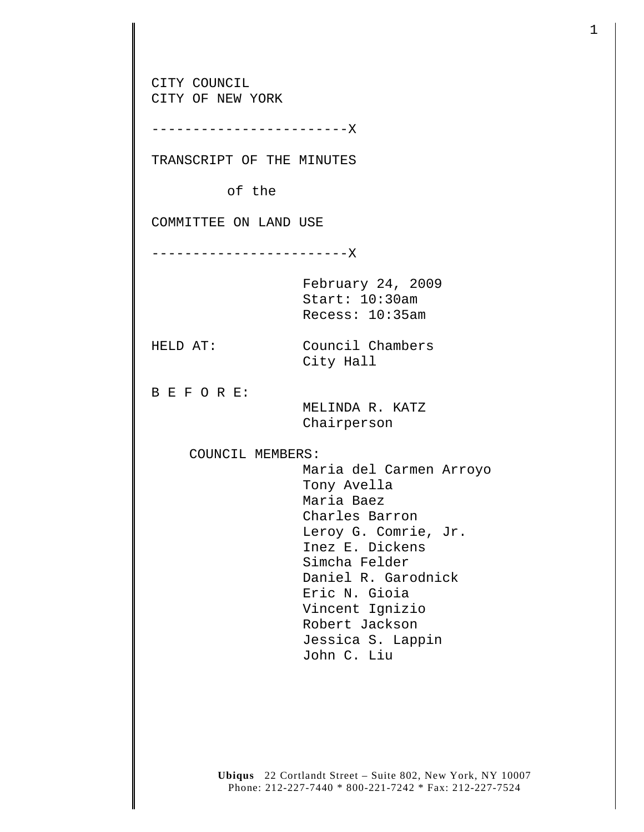CITY COUNCIL CITY OF NEW YORK ------------------------X TRANSCRIPT OF THE MINUTES of the COMMITTEE ON LAND USE ------------------------X February 24, 2009 Start: 10:30am Recess: 10:35am HELD AT: Council Chambers City Hall B E F O R E: MELINDA R. KATZ Chairperson COUNCIL MEMBERS: Maria del Carmen Arroyo Tony Avella Maria Baez Charles Barron Leroy G. Comrie, Jr. Inez E. Dickens Simcha Felder Daniel R. Garodnick Eric N. Gioia Vincent Ignizio Robert Jackson Jessica S. Lappin John C. Liu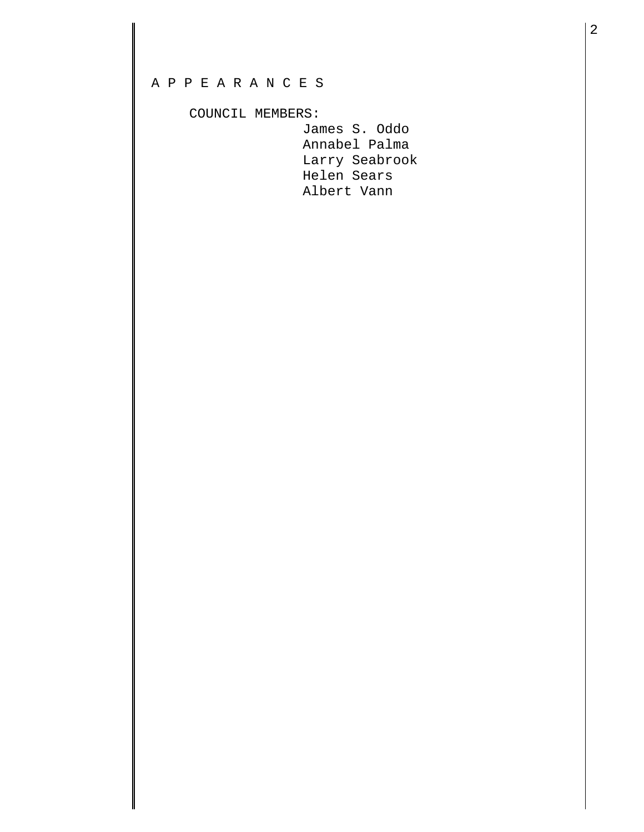## A P P E A R A N C E S

## COUNCIL MEMBERS:

James S. Oddo Annabel Palma Larry Seabrook Helen Sears Albert Vann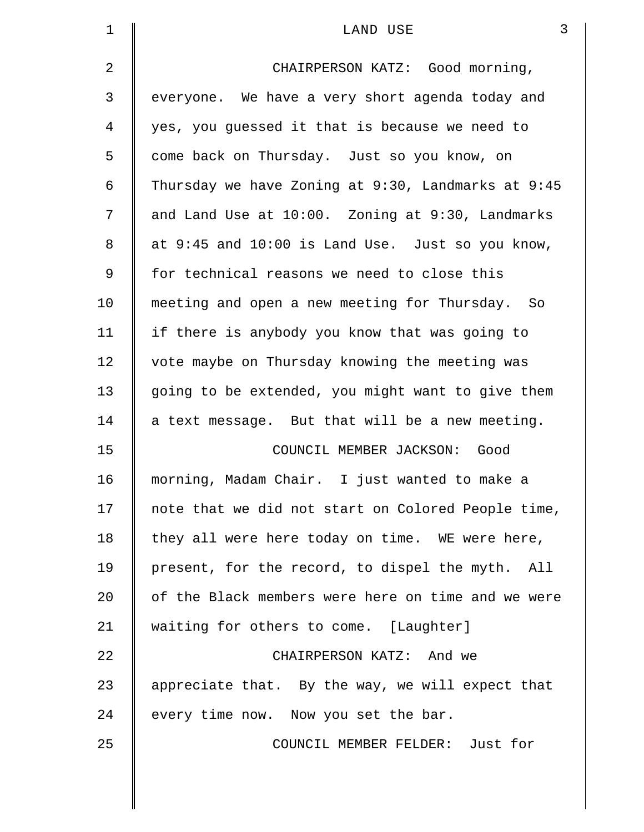| 1  | $\mathfrak{Z}$<br>LAND USE                         |
|----|----------------------------------------------------|
| 2  | CHAIRPERSON KATZ: Good morning,                    |
| 3  | everyone. We have a very short agenda today and    |
| 4  | yes, you guessed it that is because we need to     |
| 5  | come back on Thursday. Just so you know, on        |
| 6  | Thursday we have Zoning at 9:30, Landmarks at 9:45 |
| 7  | and Land Use at 10:00. Zoning at 9:30, Landmarks   |
| 8  | at 9:45 and 10:00 is Land Use. Just so you know,   |
| 9  | for technical reasons we need to close this        |
| 10 | meeting and open a new meeting for Thursday. So    |
| 11 | if there is anybody you know that was going to     |
| 12 | vote maybe on Thursday knowing the meeting was     |
| 13 | going to be extended, you might want to give them  |
| 14 | a text message. But that will be a new meeting.    |
| 15 | COUNCIL MEMBER JACKSON: Good                       |
| 16 | morning, Madam Chair. I just wanted to make a      |
| 17 | note that we did not start on Colored People time, |
| 18 | they all were here today on time. WE were here,    |
| 19 | present, for the record, to dispel the myth. All   |
| 20 | of the Black members were here on time and we were |
| 21 | waiting for others to come. [Laughter]             |
| 22 | CHAIRPERSON KATZ: And we                           |
| 23 | appreciate that. By the way, we will expect that   |
| 24 | every time now. Now you set the bar.               |
| 25 | COUNCIL MEMBER FELDER: Just for                    |
|    |                                                    |

 $\parallel$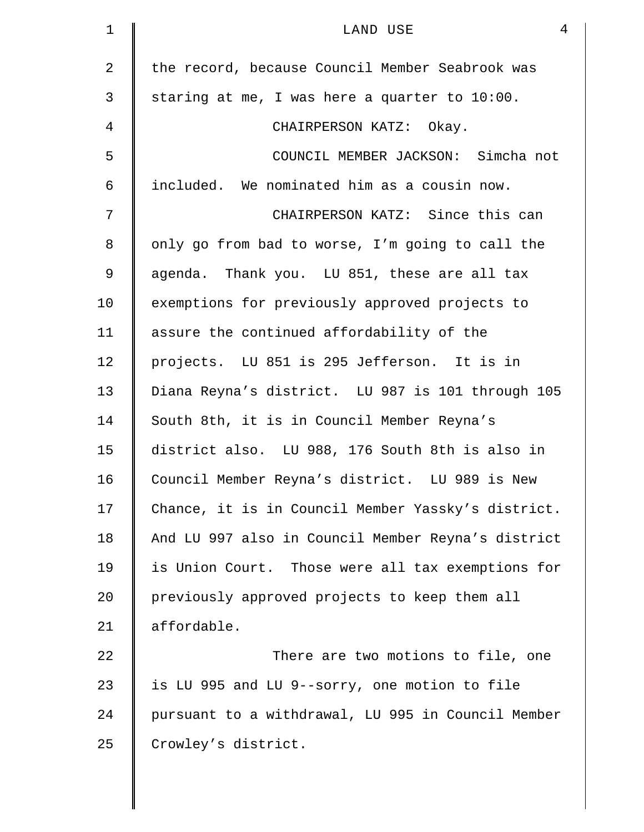| $\mathbf 1$    | $\overline{4}$<br>LAND USE                         |
|----------------|----------------------------------------------------|
| $\overline{2}$ | the record, because Council Member Seabrook was    |
| 3              | staring at me, I was here a quarter to 10:00.      |
| 4              | CHAIRPERSON KATZ: Okay.                            |
| 5              | COUNCIL MEMBER JACKSON: Simcha not                 |
| 6              | included. We nominated him as a cousin now.        |
| 7              | CHAIRPERSON KATZ: Since this can                   |
| 8              | only go from bad to worse, I'm going to call the   |
| 9              | agenda. Thank you. LU 851, these are all tax       |
| 10             | exemptions for previously approved projects to     |
| 11             | assure the continued affordability of the          |
| 12             | projects. LU 851 is 295 Jefferson. It is in        |
| 13             | Diana Reyna's district. LU 987 is 101 through 105  |
| 14             | South 8th, it is in Council Member Reyna's         |
| 15             | district also. LU 988, 176 South 8th is also in    |
| 16             | Council Member Reyna's district. LU 989 is New     |
| 17             | Chance, it is in Council Member Yassky's district. |
| 18             | And LU 997 also in Council Member Reyna's district |
| 19             | is Union Court. Those were all tax exemptions for  |
| 20             | previously approved projects to keep them all      |
| 21             | affordable.                                        |
| 22             | There are two motions to file, one                 |
| 23             | is LU 995 and LU 9--sorry, one motion to file      |
| 24             | pursuant to a withdrawal, LU 995 in Council Member |
| 25             | Crowley's district.                                |
|                |                                                    |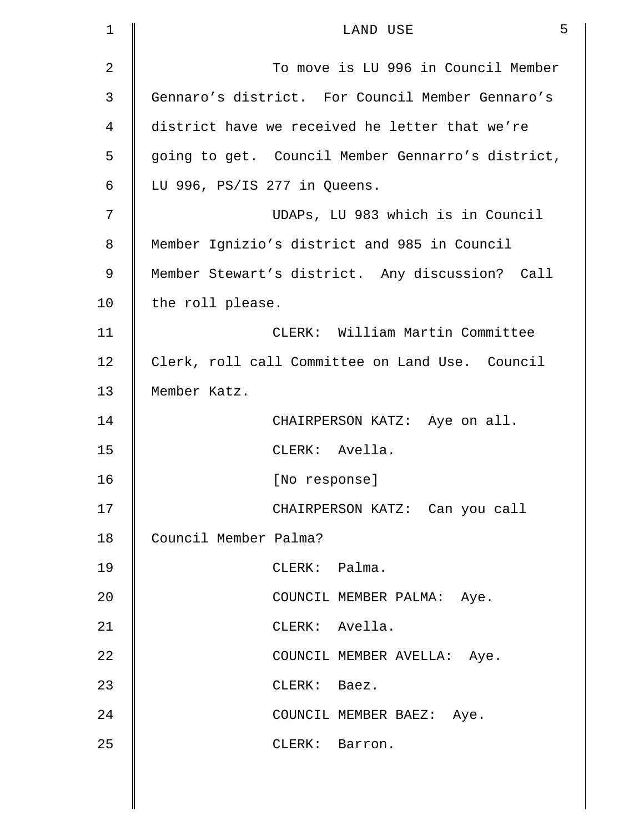| 1  | 5<br>LAND USE                                     |  |  |
|----|---------------------------------------------------|--|--|
| 2  | To move is LU 996 in Council Member               |  |  |
| 3  | Gennaro's district. For Council Member Gennaro's  |  |  |
| 4  | district have we received he letter that we're    |  |  |
| 5  | going to get. Council Member Gennarro's district, |  |  |
| 6  | LU 996, PS/IS 277 in Queens.                      |  |  |
| 7  | UDAPs, LU 983 which is in Council                 |  |  |
| 8  | Member Ignizio's district and 985 in Council      |  |  |
| 9  | Member Stewart's district. Any discussion? Call   |  |  |
| 10 | the roll please.                                  |  |  |
| 11 | CLERK: William Martin Committee                   |  |  |
| 12 | Clerk, roll call Committee on Land Use. Council   |  |  |
| 13 | Member Katz.                                      |  |  |
| 14 | CHAIRPERSON KATZ: Aye on all.                     |  |  |
| 15 | CLERK: Avella.                                    |  |  |
| 16 | [No response]                                     |  |  |
| 17 | CHAIRPERSON KATZ: Can you call                    |  |  |
| 18 | Council Member Palma?                             |  |  |
| 19 | CLERK: Palma.                                     |  |  |
| 20 | COUNCIL MEMBER PALMA: Aye.                        |  |  |
| 21 | CLERK: Avella.                                    |  |  |
| 22 | COUNCIL MEMBER AVELLA: Aye.                       |  |  |
| 23 | CLERK: Baez.                                      |  |  |
| 24 | COUNCIL MEMBER BAEZ: Aye.                         |  |  |
| 25 | CLERK: Barron.                                    |  |  |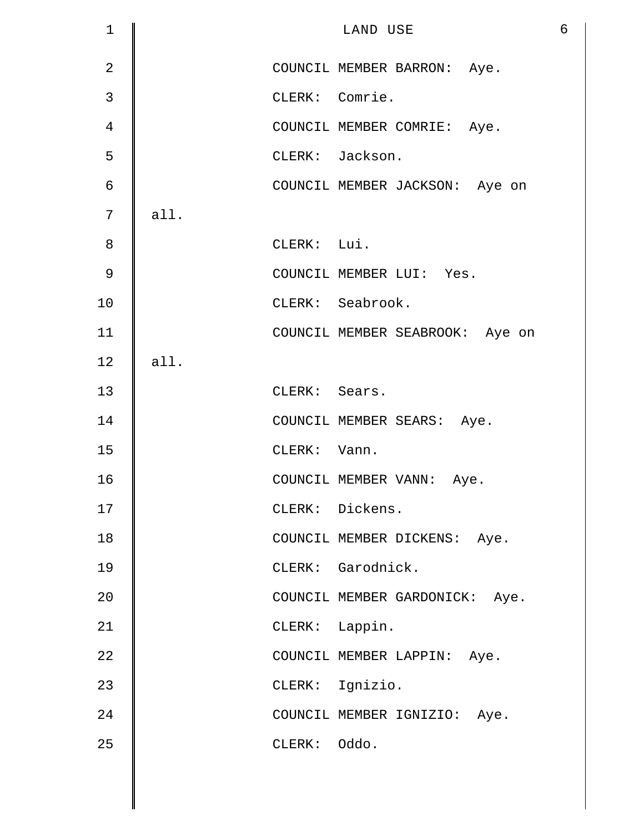| $\mathbf 1$    |      |                | LAND USE                        | $\epsilon$ |
|----------------|------|----------------|---------------------------------|------------|
| $\overline{2}$ |      |                | COUNCIL MEMBER BARRON: Aye.     |            |
| $\mathfrak{Z}$ |      | CLERK: Comrie. |                                 |            |
| 4              |      |                | COUNCIL MEMBER COMRIE: Aye.     |            |
| 5              |      |                | CLERK: Jackson.                 |            |
| 6              |      |                | COUNCIL MEMBER JACKSON: Aye on  |            |
| 7              | all. |                |                                 |            |
| $\,8\,$        |      | CLERK: Lui.    |                                 |            |
| $\mathsf 9$    |      |                | COUNCIL MEMBER LUI: Yes.        |            |
| 10             |      |                | CLERK: Seabrook.                |            |
| 11             |      |                | COUNCIL MEMBER SEABROOK: Aye on |            |
| 12             | all. |                |                                 |            |
| 13             |      | CLERK: Sears.  |                                 |            |
| 14             |      |                | COUNCIL MEMBER SEARS: Aye.      |            |
| 15             |      | CLERK: Vann.   |                                 |            |
| 16             |      |                | COUNCIL MEMBER VANN: Aye.       |            |
| 17             |      |                | CLERK: Dickens.                 |            |
| 18             |      |                | COUNCIL MEMBER DICKENS: Aye.    |            |
| 19             |      |                | CLERK: Garodnick.               |            |
| 20             |      |                | COUNCIL MEMBER GARDONICK: Aye.  |            |
| 21             |      | CLERK: Lappin. |                                 |            |
| 22             |      |                | COUNCIL MEMBER LAPPIN: Aye.     |            |
| 23             |      |                | CLERK: Ignizio.                 |            |
| 24             |      |                | COUNCIL MEMBER IGNIZIO: Aye.    |            |
| 25             |      | CLERK: Oddo.   |                                 |            |
|                |      |                |                                 |            |

 $\parallel$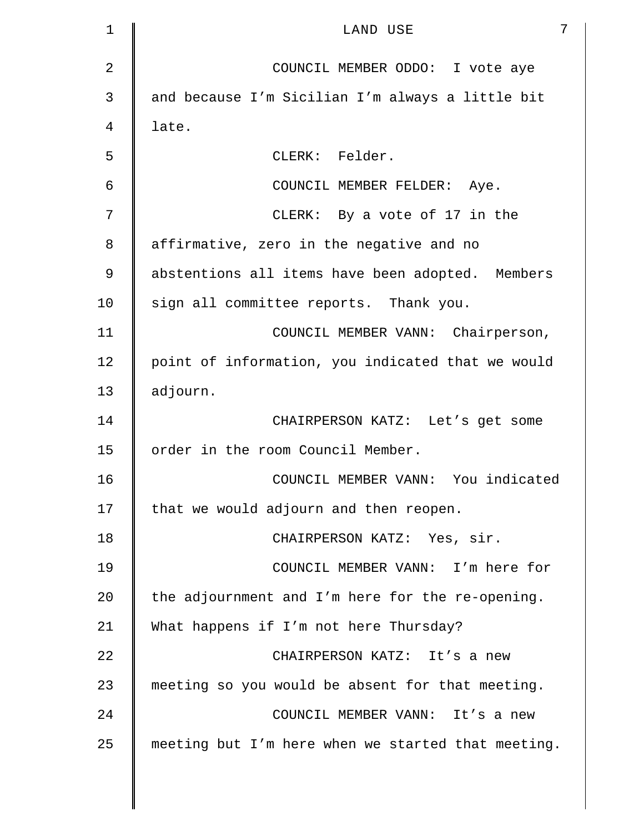| 1              | 7<br>LAND USE                                      |
|----------------|----------------------------------------------------|
| $\overline{2}$ | COUNCIL MEMBER ODDO: I vote aye                    |
| 3              | and because I'm Sicilian I'm always a little bit   |
| 4              | late.                                              |
| 5              | CLERK: Felder.                                     |
| 6              | COUNCIL MEMBER FELDER: Aye.                        |
| 7              | CLERK: By a vote of 17 in the                      |
| 8              | affirmative, zero in the negative and no           |
| 9              | abstentions all items have been adopted. Members   |
| 10             | sign all committee reports. Thank you.             |
| 11             | COUNCIL MEMBER VANN: Chairperson,                  |
| 12             | point of information, you indicated that we would  |
| 13             | adjourn.                                           |
| 14             | CHAIRPERSON KATZ: Let's get some                   |
| 15             | order in the room Council Member.                  |
| 16             | COUNCIL MEMBER VANN: You indicated                 |
| 17             | that we would adjourn and then reopen.             |
| 18             | CHAIRPERSON KATZ: Yes, sir.                        |
| 19             | COUNCIL MEMBER VANN: I'm here for                  |
| 20             | the adjournment and I'm here for the re-opening.   |
| 21             | What happens if I'm not here Thursday?             |
| 22             | CHAIRPERSON KATZ: It's a new                       |
| 23             | meeting so you would be absent for that meeting.   |
| 24             | COUNCIL MEMBER VANN: It's a new                    |
| 25             | meeting but I'm here when we started that meeting. |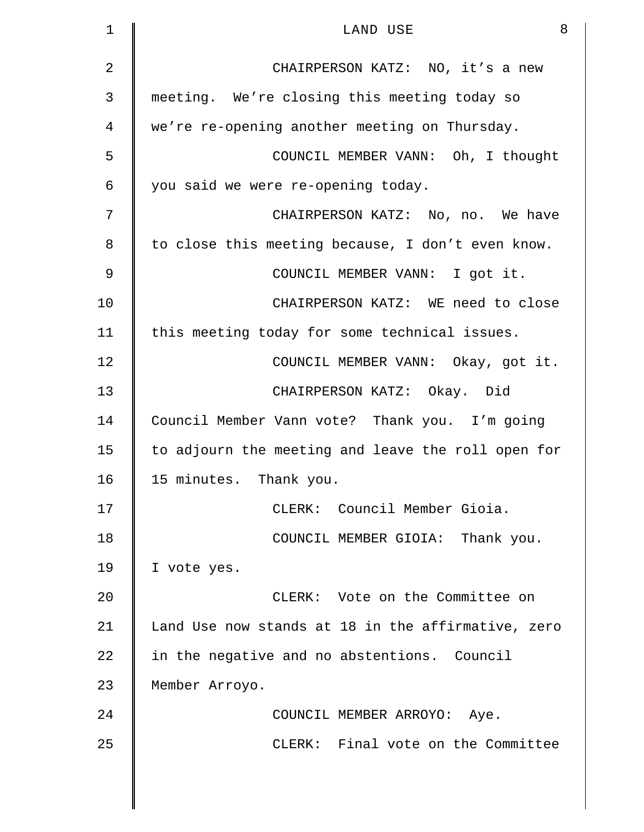| $\mathbf 1$    | 8<br>LAND USE                                      |
|----------------|----------------------------------------------------|
| $\overline{2}$ | CHAIRPERSON KATZ: NO, it's a new                   |
| 3              | meeting. We're closing this meeting today so       |
| 4              | we're re-opening another meeting on Thursday.      |
| 5              | COUNCIL MEMBER VANN: Oh, I thought                 |
| 6              | you said we were re-opening today.                 |
| 7              | CHAIRPERSON KATZ: No, no. We have                  |
| 8              | to close this meeting because, I don't even know.  |
| 9              | COUNCIL MEMBER VANN: I got it.                     |
| 10             | CHAIRPERSON KATZ: WE need to close                 |
| 11             | this meeting today for some technical issues.      |
| 12             | COUNCIL MEMBER VANN: Okay, got it.                 |
| 13             | CHAIRPERSON KATZ: Okay. Did                        |
| 14             | Council Member Vann vote? Thank you. I'm going     |
| 15             | to adjourn the meeting and leave the roll open for |
| 16             | 15 minutes. Thank you.                             |
| 17             | CLERK: Council Member Gioia.                       |
| 18             | COUNCIL MEMBER GIOIA: Thank you.                   |
| 19             | I vote yes.                                        |
| 20             | CLERK: Vote on the Committee on                    |
| 21             | Land Use now stands at 18 in the affirmative, zero |
| 22             | in the negative and no abstentions. Council        |
| 23             | Member Arroyo.                                     |
| 24             | COUNCIL MEMBER ARROYO: Aye.                        |
| 25             | CLERK: Final vote on the Committee                 |
|                |                                                    |
|                |                                                    |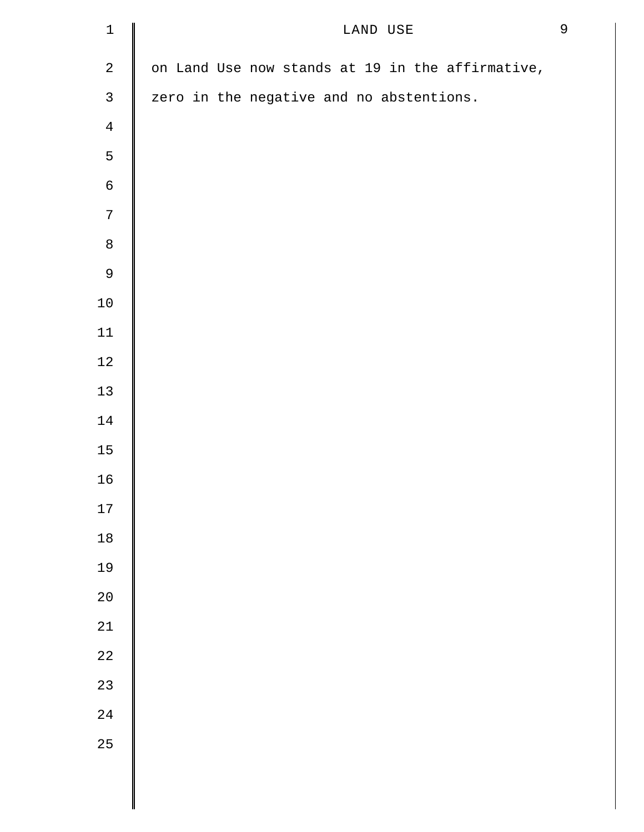| $\mathbf 1$    | LAND USE                                         | $\overline{9}$ |
|----------------|--------------------------------------------------|----------------|
| $\sqrt{2}$     | on Land Use now stands at 19 in the affirmative, |                |
| $\mathsf{3}$   | zero in the negative and no abstentions.         |                |
| $\overline{4}$ |                                                  |                |
| 5              |                                                  |                |
| $\epsilon$     |                                                  |                |
| $\sqrt{ }$     |                                                  |                |
| $\,8\,$        |                                                  |                |
| $\mathsf 9$    |                                                  |                |
| $1\,0$         |                                                  |                |
| $11$           |                                                  |                |
| $12\,$         |                                                  |                |
| $13\,$         |                                                  |                |
| $14\,$         |                                                  |                |
| $15\,$         |                                                  |                |
| $16\,$         |                                                  |                |
| $17\,$         |                                                  |                |
| $1\,8$         |                                                  |                |
| 19             |                                                  |                |
| $2\,0$         |                                                  |                |
| 21             |                                                  |                |
| $2\sqrt{2}$    |                                                  |                |
| 23             |                                                  |                |
| $2\sqrt{4}$    |                                                  |                |
| 25             |                                                  |                |
|                |                                                  |                |
|                |                                                  |                |